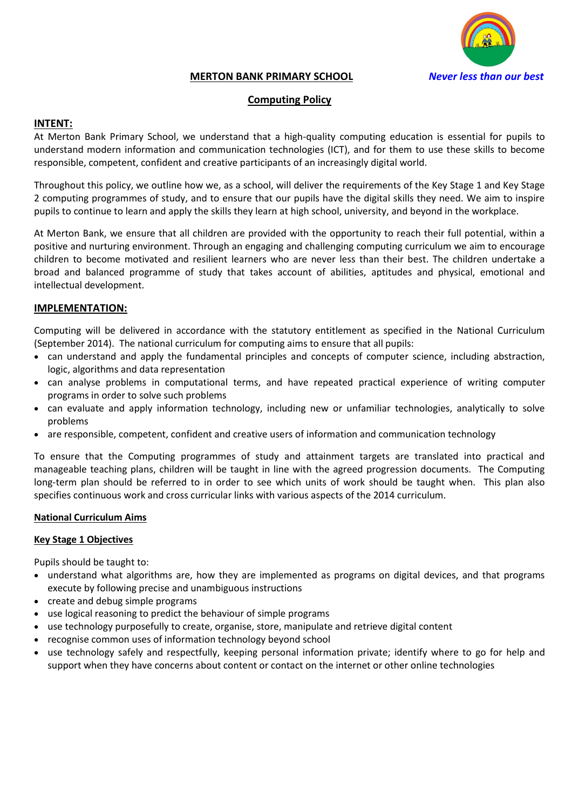

## **MERTON BANK PRIMARY SCHOOL** *Never less than our best*

### **Computing Policy**

### **INTENT:**

At Merton Bank Primary School, we understand that a high-quality computing education is essential for pupils to understand modern information and communication technologies (ICT), and for them to use these skills to become responsible, competent, confident and creative participants of an increasingly digital world.

Throughout this policy, we outline how we, as a school, will deliver the requirements of the Key Stage 1 and Key Stage 2 computing programmes of study, and to ensure that our pupils have the digital skills they need. We aim to inspire pupils to continue to learn and apply the skills they learn at high school, university, and beyond in the workplace.

At Merton Bank, we ensure that all children are provided with the opportunity to reach their full potential, within a positive and nurturing environment. Through an engaging and challenging computing curriculum we aim to encourage children to become motivated and resilient learners who are never less than their best. The children undertake a broad and balanced programme of study that takes account of abilities, aptitudes and physical, emotional and intellectual development.

## **IMPLEMENTATION:**

Computing will be delivered in accordance with the statutory entitlement as specified in the National Curriculum (September 2014). The national curriculum for computing aims to ensure that all pupils:

- can understand and apply the fundamental principles and concepts of computer science, including abstraction, logic, algorithms and data representation
- can analyse problems in computational terms, and have repeated practical experience of writing computer programs in order to solve such problems
- can evaluate and apply information technology, including new or unfamiliar technologies, analytically to solve problems
- are responsible, competent, confident and creative users of information and communication technology

To ensure that the Computing programmes of study and attainment targets are translated into practical and manageable teaching plans, children will be taught in line with the agreed progression documents. The Computing long-term plan should be referred to in order to see which units of work should be taught when. This plan also specifies continuous work and cross curricular links with various aspects of the 2014 curriculum.

#### **National Curriculum Aims**

#### **Key Stage 1 Objectives**

Pupils should be taught to:

- understand what algorithms are, how they are implemented as programs on digital devices, and that programs execute by following precise and unambiguous instructions
- create and debug simple programs
- use logical reasoning to predict the behaviour of simple programs
- use technology purposefully to create, organise, store, manipulate and retrieve digital content
- recognise common uses of information technology beyond school
- use technology safely and respectfully, keeping personal information private; identify where to go for help and support when they have concerns about content or contact on the internet or other online technologies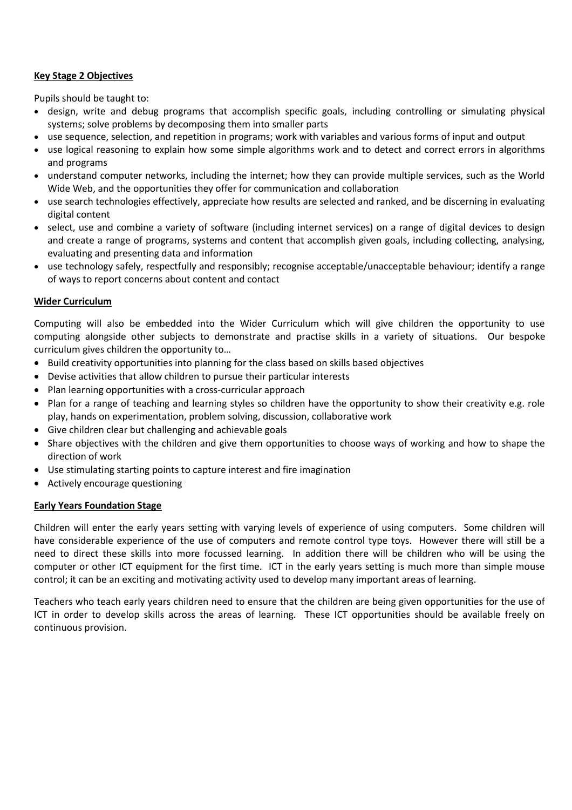## **Key Stage 2 Objectives**

Pupils should be taught to:

- design, write and debug programs that accomplish specific goals, including controlling or simulating physical systems; solve problems by decomposing them into smaller parts
- use sequence, selection, and repetition in programs; work with variables and various forms of input and output
- use logical reasoning to explain how some simple algorithms work and to detect and correct errors in algorithms and programs
- understand computer networks, including the internet; how they can provide multiple services, such as the World Wide Web, and the opportunities they offer for communication and collaboration
- use search technologies effectively, appreciate how results are selected and ranked, and be discerning in evaluating digital content
- select, use and combine a variety of software (including internet services) on a range of digital devices to design and create a range of programs, systems and content that accomplish given goals, including collecting, analysing, evaluating and presenting data and information
- use technology safely, respectfully and responsibly; recognise acceptable/unacceptable behaviour; identify a range of ways to report concerns about content and contact

## **Wider Curriculum**

Computing will also be embedded into the Wider Curriculum which will give children the opportunity to use computing alongside other subjects to demonstrate and practise skills in a variety of situations. Our bespoke curriculum gives children the opportunity to…

- Build creativity opportunities into planning for the class based on skills based objectives
- Devise activities that allow children to pursue their particular interests
- Plan learning opportunities with a cross-curricular approach
- Plan for a range of teaching and learning styles so children have the opportunity to show their creativity e.g. role play, hands on experimentation, problem solving, discussion, collaborative work
- Give children clear but challenging and achievable goals
- Share objectives with the children and give them opportunities to choose ways of working and how to shape the direction of work
- Use stimulating starting points to capture interest and fire imagination
- Actively encourage questioning

## **Early Years Foundation Stage**

Children will enter the early years setting with varying levels of experience of using computers. Some children will have considerable experience of the use of computers and remote control type toys. However there will still be a need to direct these skills into more focussed learning. In addition there will be children who will be using the computer or other ICT equipment for the first time. ICT in the early years setting is much more than simple mouse control; it can be an exciting and motivating activity used to develop many important areas of learning.

Teachers who teach early years children need to ensure that the children are being given opportunities for the use of ICT in order to develop skills across the areas of learning. These ICT opportunities should be available freely on continuous provision.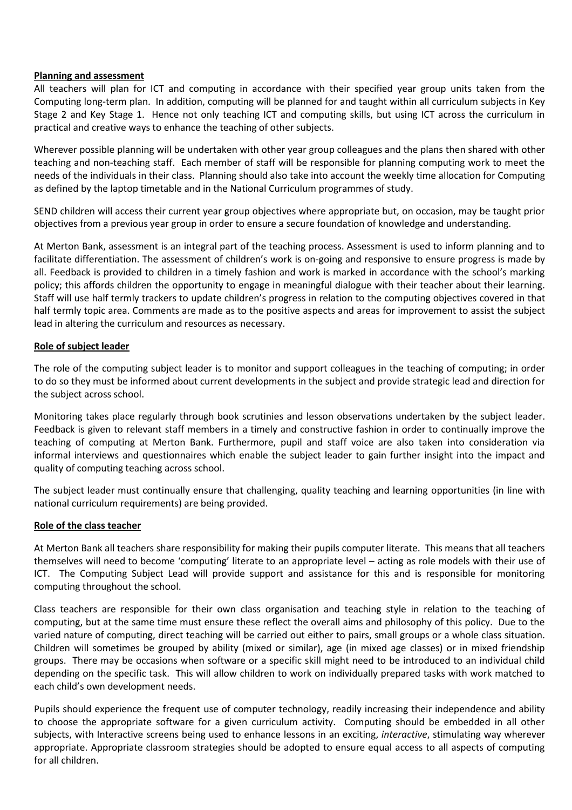#### **Planning and assessment**

All teachers will plan for ICT and computing in accordance with their specified year group units taken from the Computing long-term plan. In addition, computing will be planned for and taught within all curriculum subjects in Key Stage 2 and Key Stage 1. Hence not only teaching ICT and computing skills, but using ICT across the curriculum in practical and creative ways to enhance the teaching of other subjects.

Wherever possible planning will be undertaken with other year group colleagues and the plans then shared with other teaching and non-teaching staff. Each member of staff will be responsible for planning computing work to meet the needs of the individuals in their class. Planning should also take into account the weekly time allocation for Computing as defined by the laptop timetable and in the National Curriculum programmes of study.

SEND children will access their current year group objectives where appropriate but, on occasion, may be taught prior objectives from a previous year group in order to ensure a secure foundation of knowledge and understanding.

At Merton Bank, assessment is an integral part of the teaching process. Assessment is used to inform planning and to facilitate differentiation. The assessment of children's work is on-going and responsive to ensure progress is made by all. Feedback is provided to children in a timely fashion and work is marked in accordance with the school's marking policy; this affords children the opportunity to engage in meaningful dialogue with their teacher about their learning. Staff will use half termly trackers to update children's progress in relation to the computing objectives covered in that half termly topic area. Comments are made as to the positive aspects and areas for improvement to assist the subject lead in altering the curriculum and resources as necessary.

## **Role of subject leader**

The role of the computing subject leader is to monitor and support colleagues in the teaching of computing; in order to do so they must be informed about current developments in the subject and provide strategic lead and direction for the subject across school.

Monitoring takes place regularly through book scrutinies and lesson observations undertaken by the subject leader. Feedback is given to relevant staff members in a timely and constructive fashion in order to continually improve the teaching of computing at Merton Bank. Furthermore, pupil and staff voice are also taken into consideration via informal interviews and questionnaires which enable the subject leader to gain further insight into the impact and quality of computing teaching across school.

The subject leader must continually ensure that challenging, quality teaching and learning opportunities (in line with national curriculum requirements) are being provided.

## **Role of the class teacher**

At Merton Bank all teachers share responsibility for making their pupils computer literate. This means that all teachers themselves will need to become 'computing' literate to an appropriate level – acting as role models with their use of ICT. The Computing Subject Lead will provide support and assistance for this and is responsible for monitoring computing throughout the school.

Class teachers are responsible for their own class organisation and teaching style in relation to the teaching of computing, but at the same time must ensure these reflect the overall aims and philosophy of this policy. Due to the varied nature of computing, direct teaching will be carried out either to pairs, small groups or a whole class situation. Children will sometimes be grouped by ability (mixed or similar), age (in mixed age classes) or in mixed friendship groups. There may be occasions when software or a specific skill might need to be introduced to an individual child depending on the specific task. This will allow children to work on individually prepared tasks with work matched to each child's own development needs.

Pupils should experience the frequent use of computer technology, readily increasing their independence and ability to choose the appropriate software for a given curriculum activity. Computing should be embedded in all other subjects, with Interactive screens being used to enhance lessons in an exciting, *interactive*, stimulating way wherever appropriate. Appropriate classroom strategies should be adopted to ensure equal access to all aspects of computing for all children.